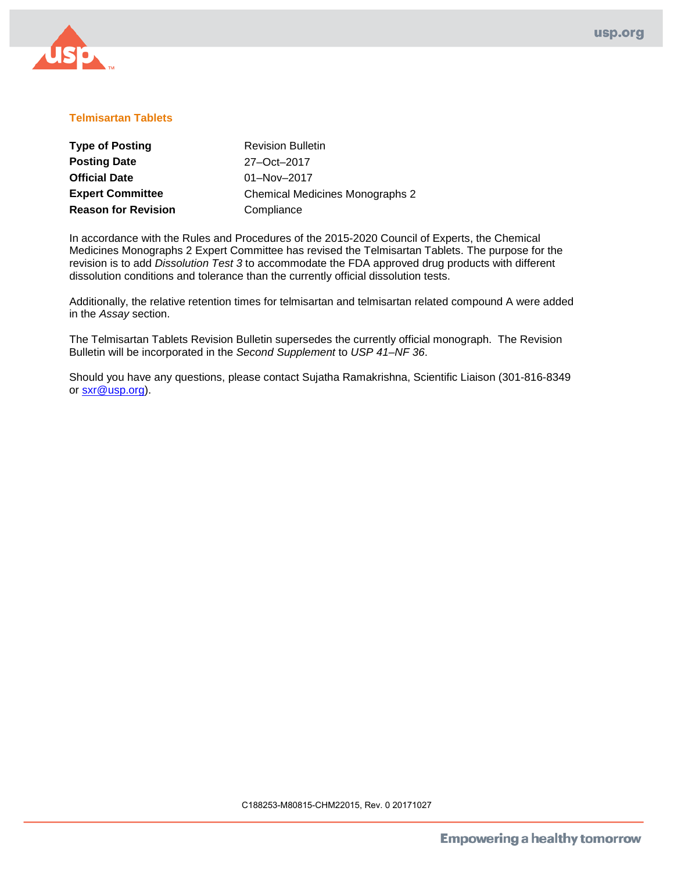

# **Telmisartan Tablets**

| <b>Type of Posting</b>     | <b>Revision Bulletin</b>               |
|----------------------------|----------------------------------------|
| <b>Posting Date</b>        | 27-Oct-2017                            |
| <b>Official Date</b>       | 01-Nov-2017                            |
| <b>Expert Committee</b>    | <b>Chemical Medicines Monographs 2</b> |
| <b>Reason for Revision</b> | Compliance                             |

In accordance with the Rules and Procedures of the 2015-2020 Council of Experts, the Chemical Medicines Monographs 2 Expert Committee has revised the Telmisartan Tablets. The purpose for the revision is to add *Dissolution Test 3* to accommodate the FDA approved drug products with different dissolution conditions and tolerance than the currently official dissolution tests.

Additionally, the relative retention times for telmisartan and telmisartan related compound A were added in the *Assay* section.

The Telmisartan Tablets Revision Bulletin supersedes the currently official monograph. The Revision Bulletin will be incorporated in the *Second Supplement* to *USP 41–NF 36*.

Should you have any questions, please contact Sujatha Ramakrishna, Scientific Liaison (301-816-8349 or sxr@usp.org).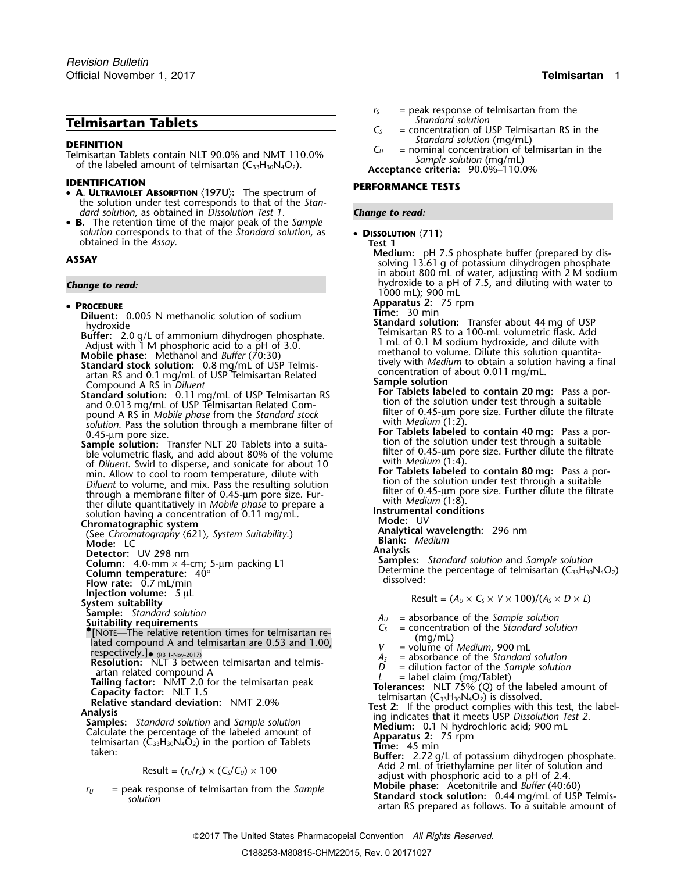- **IDENTIFICATION PERFORMANCE TESTS A. ULTRAVIOLET ABSORPTION** 〈**197U**〉**:** The spectrum of the solution under test corresponds to that of the *Standard solution*, as obtained in *Dissolution Test 1*. *Change to read:*
- **B.** The retention time of the major peak of the *Sample solution* corresponds to that of the *Standard solution*, as • **DISSOLUTION**  $\langle 711 \rangle$ <br> **Test 1**<br> **CAV Medium:** pH 7.5 phosphate buffer (prepared by dis-<br> **CAV**

## • PROCEDURE

Standard stock solution: 0.8 mg/mL of USP Telmis-<br>artan RS and 0.1 mg/mL of USP Telmisarian Related<br>concentration of about 0.011 mg/mL.<br>Compound A RS in Diluent<br>Compound A RS in Diluent

- **Standard solution:** 0.11 mg/mL of USP Telmisartan RS<br>and 0.013 mg/mL of USP Telmisartan Related Com-<br>pound A RS in *Mobile phase* from the *Standard stock* filter of 0.45-µm pore size. Further dilute the filtrate<br>solutio
- of *Diluent*. Swirl to disperse, and sonicate for about 10<br>min. Allow to cool to room temperature, dilute with **For Tablets labeled to contain 80 mg**: Pass a por-<br>*Diluent* to volume, and mix. Pass the resulting solution blue of through a membrane filter of 0.45-μm pore size. Fur-<br>the dilute quantitatively in Mobile phase to prepare a<br>solution having a concentration of 0.11 mg/mL.<br>Solution arison and the solutions<br>**Mode:** UV<br>Mode: UV

**Chromatographic system**<br>(See Chromatography (621) System Suitability **Mode:** Mode: UV<br>**Analytical wavelength:** 296 nm (See Chromatography  $\langle 621 \rangle$ , System Suitability.) **Mode:** LC

- 
- **Column:** 4.0-mm × 4-cm; 5-µm packing L1<br>**Column temperature:** 40°
- 
- 
- 
- 
- 
- **Sample:** *Standard solution*<br> **Suitability requirements**<br> **C**<sub>S</sub> = concentration of the *Standard solution*<br>
 C<sub>S</sub> = concentration of the *Standard solution*<br>
 C<sub>S</sub> = concentration of the *Standard solution*
- Lated compound A and telmisartan are 0.53 and 1.00,<br>
respectively.]<br> **Resolution:** NLT 3 between telmisartan and telmis-<br> **Resolution:** NLT 3 between telmisartan and telmis-<br>  $\begin{array}{rcl}\n & & \text{(mg/mL)} \\
N & = \text{volume of Median, 900 mL} \\
A_5 & = \text{absorb$
- 
- 

- 
- **Exercise the Standard solution:** NLT 3 between telmisartan and telmis-<br>
and a compound A<br>
and related compound A<br>
and related compound A<br> **Exercise to the Standard Solution**<br>
and related compound A<br> **Exercise Standard A**

$$
Result = (r_U/r_S) \times (C_S/C_U) \times 100
$$

 $r_U$  = peak response of telmisartan from the Sample<br>solution solution<br>artan RS prepared as follows. To a suitable amount of the same artan RS prepared as follows. To a suitable amount of

- $r<sub>S</sub>$  = peak response of telmisartan from the *Standard solution*
- **Telmisartan Tablets**<br> **C**<sub>S</sub> = concentration of USP Telmisartan RS in the<br> **Standard solution (mg/mL)**
- **DEFINITION**<br>
Telmisartan Tablets contain NLT 90.0% and NMT 110.0%<br>
of the labeled amount of telmisartan (C<sub>33</sub>H<sub>30</sub>N<sub>4</sub>O<sub>2</sub>).<br>
of the labeled amount of telmisartan (C<sub>33</sub>H<sub>30</sub>N<sub>4</sub>O<sub>2</sub>).<br>
Acceptance criteria: 90.0%–110.0%

- 
- **Medium:** pH 7.5 <sup>p</sup>hosphate buffer (prepared by dis- **ASSAY** solving 13.61 g of potassium dihydrogen phosphate in about 800 mL of water, adjusting with 2 M sodium **Change to read: Change to read:** hydroxide to a pH of 7.5, and diluting with water to 1000 mL); 900 mL
	- **Apparatus 2:** 75 rpm<br>**Time:** 30 min
	-
	- **Diluent:** 0.005 N methanolic solution of sodium<br>
	hydroxide<br>
	Buffer: 2.0 g/L of ammonium dihydrogen phosphate.<br>
	Adjust with 1 M phosphoric acid to a pH of 3.0.<br>
	Mobile phase: Methanol and *Buffer* (70:30)<br>
	Mobile phase: Me
		-
	- Compound A RS in *Diluent*<br>**Standard solution:** 0.11 mg/mL of USP Telmisartan RS<br>**Standard solution:** 0.11 mg/mL of USP Telmisartan RS<br>**Standard the solution under test through a suitable** 
		-
		-
		-
		- -

**Mode:** LC **Blank:** *Medium*

**Detector:** UV 298 nm<br> **Column:** 4.0-mm × 4-cm: 5-um packing 1.1 **Samples:** Standard solution and Sample solution **Column temperature:**  $40^{\circ}$  m. packing 2. **Example 1.1** Determine the percentage of telmisartan (C<sub>33</sub>H<sub>30</sub>N<sub>4</sub>O<sub>2</sub>)<br>**Flow rate:** 0.7 mL/min

**Injection volume:**  $5 \mu L$ <br> **System suitability**<br> **Sample:** Standard solution<br> **Sample:** Standard solution

- 
- 
- 
- 
- 
- 
- 

- 
- 
- 
- **Add 2 mL of triethylamine per liter of solution and adjust with phosphoric acid to a pH of 2.4. <b>Mobile phase:** Acetonitrile and *Buffer* (40:60)
- 
-